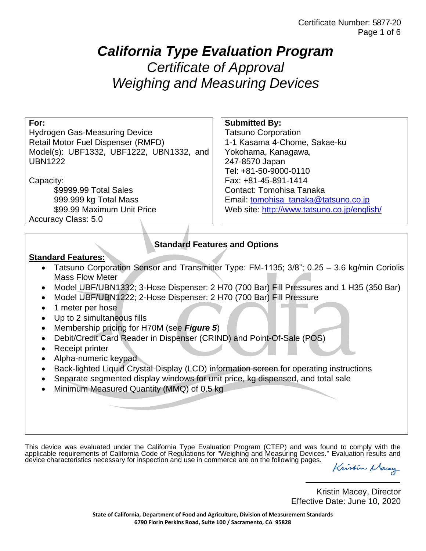# *California Type Evaluation Program Certificate of Approval Weighing and Measuring Devices*

| For:                                                                                       | <b>Submitted By:</b>                        |  |
|--------------------------------------------------------------------------------------------|---------------------------------------------|--|
| <b>Hydrogen Gas-Measuring Device</b>                                                       | <b>Tatsuno Corporation</b>                  |  |
| Retail Motor Fuel Dispenser (RMFD)                                                         | 1-1 Kasama 4-Chome, Sakae-ku                |  |
| Model(s): UBF1332, UBF1222, UBN1332, and                                                   | Yokohama, Kanagawa,                         |  |
| <b>UBN1222</b>                                                                             | 247-8570 Japan                              |  |
|                                                                                            | Tel: +81-50-9000-0110                       |  |
| Capacity:                                                                                  | Fax: +81-45-891-1414                        |  |
| \$9999.99 Total Sales                                                                      | Contact: Tomohisa Tanaka                    |  |
| 999.999 kg Total Mass                                                                      | Email: tomohisa_tanaka@tatsuno.co.jp        |  |
| \$99.99 Maximum Unit Price                                                                 | Web site: http://www.tatsuno.co.jp/english/ |  |
| Accuracy Class: 5.0                                                                        |                                             |  |
|                                                                                            |                                             |  |
|                                                                                            |                                             |  |
| <b>Standard Features and Options</b>                                                       |                                             |  |
| <b>Standard Features:</b>                                                                  |                                             |  |
| Tatsuno Corporation Sensor and Transmitter Type: FM-1135; 3/8"; 0.25 - 3.6 kg/min Coriolis |                                             |  |
| <b>Mass Flow Meter</b>                                                                     |                                             |  |
| Model UBF/UBN1332; 3-Hose Dispenser: 2 H70 (700 Bar) Fill Pressures and 1 H35 (350 Bar)    |                                             |  |
|                                                                                            |                                             |  |
| Model UBF/UBN1222; 2-Hose Dispenser: 2 H70 (700 Bar) Fill Pressure                         |                                             |  |
| 1 meter per hose                                                                           |                                             |  |
| Up to 2 simultaneous fills<br>$\bullet$                                                    |                                             |  |
| Membership pricing for H70M (see Figure 5)<br>$\bullet$                                    |                                             |  |
| Debit/Credit Card Reader in Dispenser (CRIND) and Point-Of-Sale (POS)<br>$\bullet$         |                                             |  |
| Receipt printer<br>$\bullet$                                                               |                                             |  |
| Alpha-numeric keypad                                                                       |                                             |  |
| Back-lighted Liquid Crystal Display (LCD) information screen for operating instructions    |                                             |  |
| Separate segmented display windows for unit price, kg dispensed, and total sale            |                                             |  |
| Minimum Measured Quantity (MMQ) of 0.5 kg                                                  |                                             |  |
|                                                                                            |                                             |  |
|                                                                                            |                                             |  |
|                                                                                            |                                             |  |
|                                                                                            |                                             |  |

This device was evaluated under the California Type Evaluation Program (CTEP) and was found to comply with the applicable requirements of California Code of Regulations for "Weighing and Measuring Devices." Evaluation results and device characteristics necessary for inspection and use in commerce are on the following pages.

Kristin Macay

Kristin Macey, Director Effective Date: June 10, 2020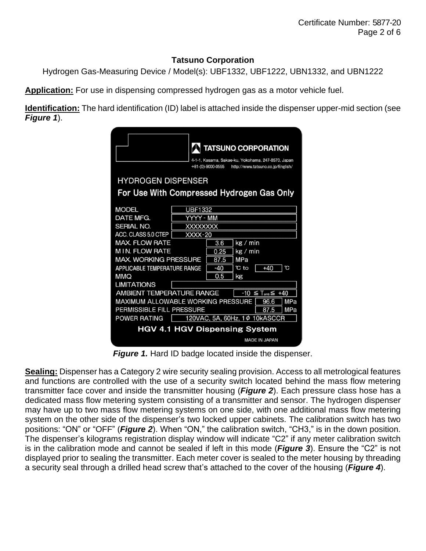### **Tatsuno Corporation**

Hydrogen Gas-Measuring Device / Model(s): UBF1332, UBF1222, UBN1332, and UBN1222

**Application:** For use in dispensing compressed hydrogen gas as a motor vehicle fuel.

**Identification:** The hard identification (ID) label is attached inside the dispenser upper-mid section (see *Figure 1*).

|                                                                                                                                                                                                                                    | <b>TATSUNO CORPORATION</b><br>4-1-1, Kasama, Sakae-ku, Yokohama, 247-8570, Japan<br>$+81-(0)-9000-0555$<br>http://www.tatsuno.co.jp/English/           |  |
|------------------------------------------------------------------------------------------------------------------------------------------------------------------------------------------------------------------------------------|--------------------------------------------------------------------------------------------------------------------------------------------------------|--|
| <b>HYDROGEN DISPENSER</b>                                                                                                                                                                                                          |                                                                                                                                                        |  |
| For Use With Compressed Hydrogen Gas Only                                                                                                                                                                                          |                                                                                                                                                        |  |
| <b>MODEL</b><br>DATE MFG.<br><b>SERIAL NO.</b><br>ACC. CLASS 5.0 CTEP<br><b>MAX. FLOW RATE</b><br><b>MIN. FLOW RATE</b><br><b>MAX, WORKING PRESSURE</b><br><b>APPLICABLE TEMPERATURE RANGE</b><br><b>OMM</b><br><b>LIMITATIONS</b> | <b>UBF1332</b><br>YYYY - MM<br>XXXXXXXX<br>XXXX-20<br>kg / min<br>3.6<br>kg / min<br>0.25<br>87.5<br>MPa<br>ဲင<br>°C to<br>$-40$<br>$+40$<br>0.5<br>kg |  |
| <b>AMBIENT TEMPERATURE RANGE</b><br>$-10 \leq$<br>$T_{\text{amb}} \leq 440$<br>MAXIMUM ALLOWABLE WORKING PRESSURE<br>MPa<br>96.6<br>PERMISSIBLE FILL PRESSURE<br>MPa<br>87.5<br>POWER RATING<br>120VAC, 5A, 60Hz, 1¢ 10kASCCR      |                                                                                                                                                        |  |
| <b>HGV 4.1 HGV Dispensing System</b><br><b>MADE IN JAPAN</b>                                                                                                                                                                       |                                                                                                                                                        |  |

*Figure 1.* Hard ID badge located inside the dispenser.

**Sealing:** Dispenser has a Category 2 wire security sealing provision. Access to all metrological features and functions are controlled with the use of a security switch located behind the mass flow metering transmitter face cover and inside the transmitter housing (*Figure 2*). Each pressure class hose has a dedicated mass flow metering system consisting of a transmitter and sensor. The hydrogen dispenser may have up to two mass flow metering systems on one side, with one additional mass flow metering system on the other side of the dispenser's two locked upper cabinets. The calibration switch has two positions: "ON" or "OFF" (*Figure 2*). When "ON," the calibration switch, "CH3," is in the down position. The dispenser's kilograms registration display window will indicate "C2" if any meter calibration switch is in the calibration mode and cannot be sealed if left in this mode (*Figure 3*). Ensure the "C2" is not displayed prior to sealing the transmitter. Each meter cover is sealed to the meter housing by threading a security seal through a drilled head screw that's attached to the cover of the housing (*Figure 4*).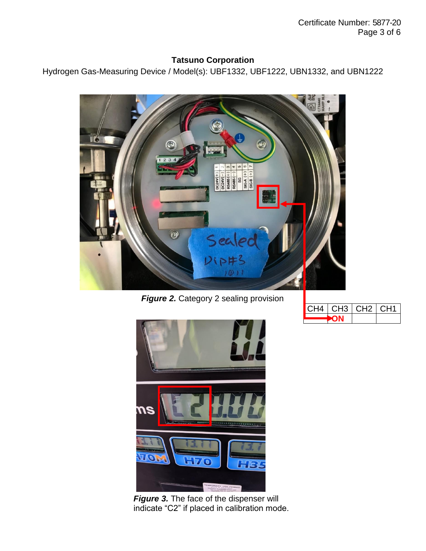Certificate Number: 5877-20 Page 3 of 6

#### **Tatsuno Corporation**

Hydrogen Gas-Measuring Device / Model(s): UBF1332, UBF1222, UBN1332, and UBN1222



**Figure 2.** Category 2 sealing provision





**Figure 3.** The face of the dispenser will indicate "C2" if placed in calibration mode.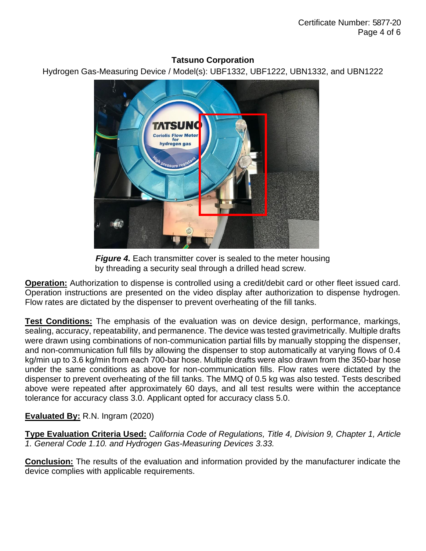#### **Tatsuno Corporation**

Hydrogen Gas-Measuring Device / Model(s): UBF1332, UBF1222, UBN1332, and UBN1222





**Operation:** Authorization to dispense is controlled using a credit/debit card or other fleet issued card. Operation instructions are presented on the video display after authorization to dispense hydrogen. Flow rates are dictated by the dispenser to prevent overheating of the fill tanks.

**Test Conditions:** The emphasis of the evaluation was on device design, performance, markings, sealing, accuracy, repeatability, and permanence. The device was tested gravimetrically. Multiple drafts were drawn using combinations of non-communication partial fills by manually stopping the dispenser, and non-communication full fills by allowing the dispenser to stop automatically at varying flows of 0.4 kg/min up to 3.6 kg/min from each 700-bar hose. Multiple drafts were also drawn from the 350-bar hose under the same conditions as above for non-communication fills. Flow rates were dictated by the dispenser to prevent overheating of the fill tanks. The MMQ of 0.5 kg was also tested. Tests described above were repeated after approximately 60 days, and all test results were within the acceptance tolerance for accuracy class 3.0. Applicant opted for accuracy class 5.0.

# **Evaluated By:** R.N. Ingram (2020)

**Type Evaluation Criteria Used:** *California Code of Regulations, Title 4, Division 9, Chapter 1, Article 1. General Code 1.10. and Hydrogen Gas-Measuring Devices 3.33.*

**Conclusion:** The results of the evaluation and information provided by the manufacturer indicate the device complies with applicable requirements.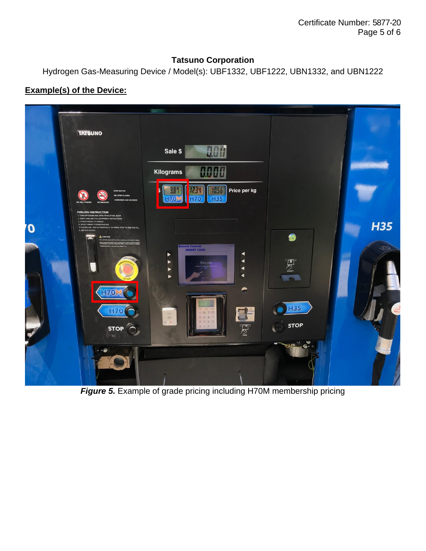Certificate Number: 5877-20 Page 5 of 6

#### **Tatsuno Corporation**

Hydrogen Gas-Measuring Device / Model(s): UBF1332, UBF1222, UBN1332, and UBN1222

## **Example(s) of the Device:**



*Figure 5.* Example of grade pricing including H70M membership pricing